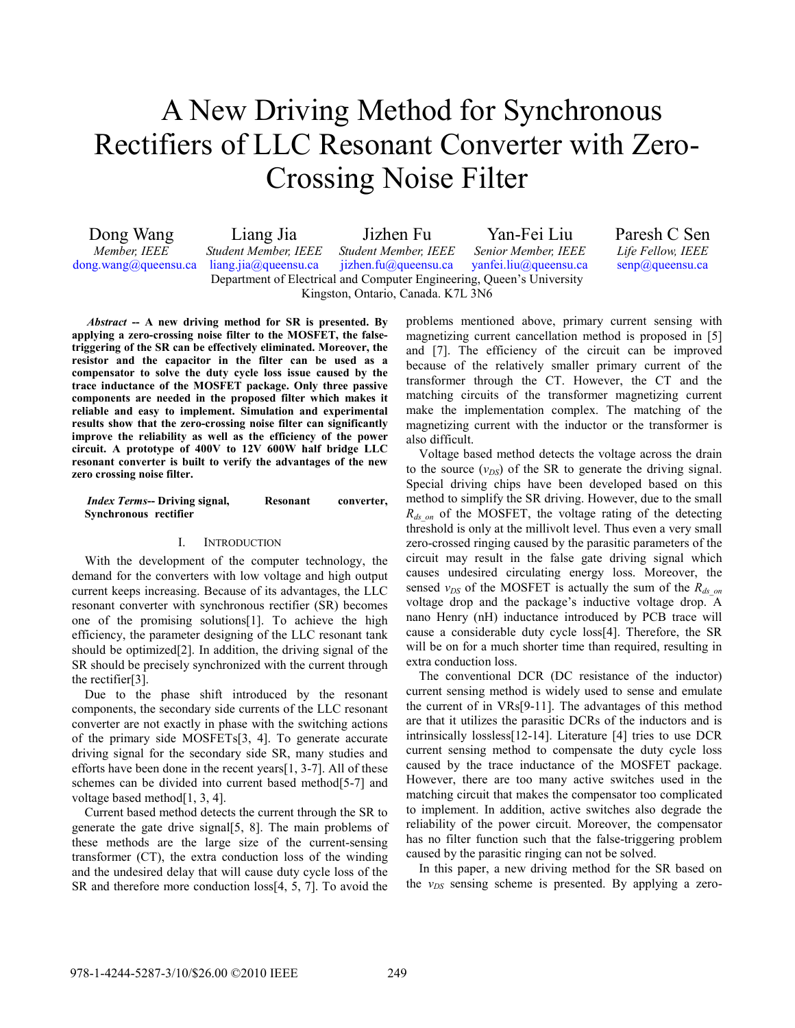# A New Driving Method for Synchronous Rectifiers of LLC Resonant Converter with Zero-Crossing Noise Filter

| Dong Wang                                                             | Liang Jia                   | Jizhen Fu                   | Yan-Fei Liu                   | Paresh C Sen                |  |
|-----------------------------------------------------------------------|-----------------------------|-----------------------------|-------------------------------|-----------------------------|--|
| Member, IEEE                                                          | <b>Student Member, IEEE</b> | <b>Student Member, IEEE</b> | Senior Member, IEEE           | <i>Life Fellow, IEEE</i>    |  |
| $\text{dong}$ . wang@queensu.ca                                       | liang.jia@queensu.ca        | $i$ izhen.fu@queensu.ca     | $\gamma$ anfei.liu@queensu.ca | $\text{senp}(a)$ queensu.ca |  |
| Department of Electrical and Computer Engineering, Queen's University |                             |                             |                               |                             |  |
| Kingston, Ontario, Canada. K7L 3N6                                    |                             |                             |                               |                             |  |

*Abstract* **-- A new driving method for SR is presented. By applying a zero-crossing noise filter to the MOSFET, the falsetriggering of the SR can be effectively eliminated. Moreover, the resistor and the capacitor in the filter can be used as a compensator to solve the duty cycle loss issue caused by the trace inductance of the MOSFET package. Only three passive components are needed in the proposed filter which makes it reliable and easy to implement. Simulation and experimental results show that the zero-crossing noise filter can significantly improve the reliability as well as the efficiency of the power circuit. A prototype of 400V to 12V 600W half bridge LLC resonant converter is built to verify the advantages of the new zero crossing noise filter.** 

#### *Index Terms***-- Driving signal, Resonant converter, Synchronous rectifier**

## I. INTRODUCTION

With the development of the computer technology, the demand for the converters with low voltage and high output current keeps increasing. Because of its advantages, the LLC resonant converter with synchronous rectifier (SR) becomes one of the promising solutions[1]. To achieve the high efficiency, the parameter designing of the LLC resonant tank should be optimized[2]. In addition, the driving signal of the SR should be precisely synchronized with the current through the rectifier[3].

Due to the phase shift introduced by the resonant components, the secondary side currents of the LLC resonant converter are not exactly in phase with the switching actions of the primary side MOSFETs[3, 4]. To generate accurate driving signal for the secondary side SR, many studies and efforts have been done in the recent years[1, 3-7]. All of these schemes can be divided into current based method[5-7] and voltage based method[1, 3, 4].

Current based method detects the current through the SR to generate the gate drive signal[5, 8]. The main problems of these methods are the large size of the current-sensing transformer (CT), the extra conduction loss of the winding and the undesired delay that will cause duty cycle loss of the SR and therefore more conduction loss[4, 5, 7]. To avoid the

problems mentioned above, primary current sensing with magnetizing current cancellation method is proposed in [5] and [7]. The efficiency of the circuit can be improved because of the relatively smaller primary current of the transformer through the CT. However, the CT and the matching circuits of the transformer magnetizing current make the implementation complex. The matching of the magnetizing current with the inductor or the transformer is also difficult.

Voltage based method detects the voltage across the drain to the source  $(v_{DS})$  of the SR to generate the driving signal. Special driving chips have been developed based on this method to simplify the SR driving. However, due to the small *R<sub>ds on</sub>* of the MOSFET, the voltage rating of the detecting threshold is only at the millivolt level. Thus even a very small zero-crossed ringing caused by the parasitic parameters of the circuit may result in the false gate driving signal which causes undesired circulating energy loss. Moreover, the sensed  $v_{DS}$  of the MOSFET is actually the sum of the  $R_{ds}$ <sub>on</sub> voltage drop and the package's inductive voltage drop. A nano Henry (nH) inductance introduced by PCB trace will cause a considerable duty cycle loss[4]. Therefore, the SR will be on for a much shorter time than required, resulting in extra conduction loss.

The conventional DCR (DC resistance of the inductor) current sensing method is widely used to sense and emulate the current of in VRs[9-11]. The advantages of this method are that it utilizes the parasitic DCRs of the inductors and is intrinsically lossless[12-14]. Literature [4] tries to use DCR current sensing method to compensate the duty cycle loss caused by the trace inductance of the MOSFET package. However, there are too many active switches used in the matching circuit that makes the compensator too complicated to implement. In addition, active switches also degrade the reliability of the power circuit. Moreover, the compensator has no filter function such that the false-triggering problem caused by the parasitic ringing can not be solved.

In this paper, a new driving method for the SR based on the  $v_{DS}$  sensing scheme is presented. By applying a zero-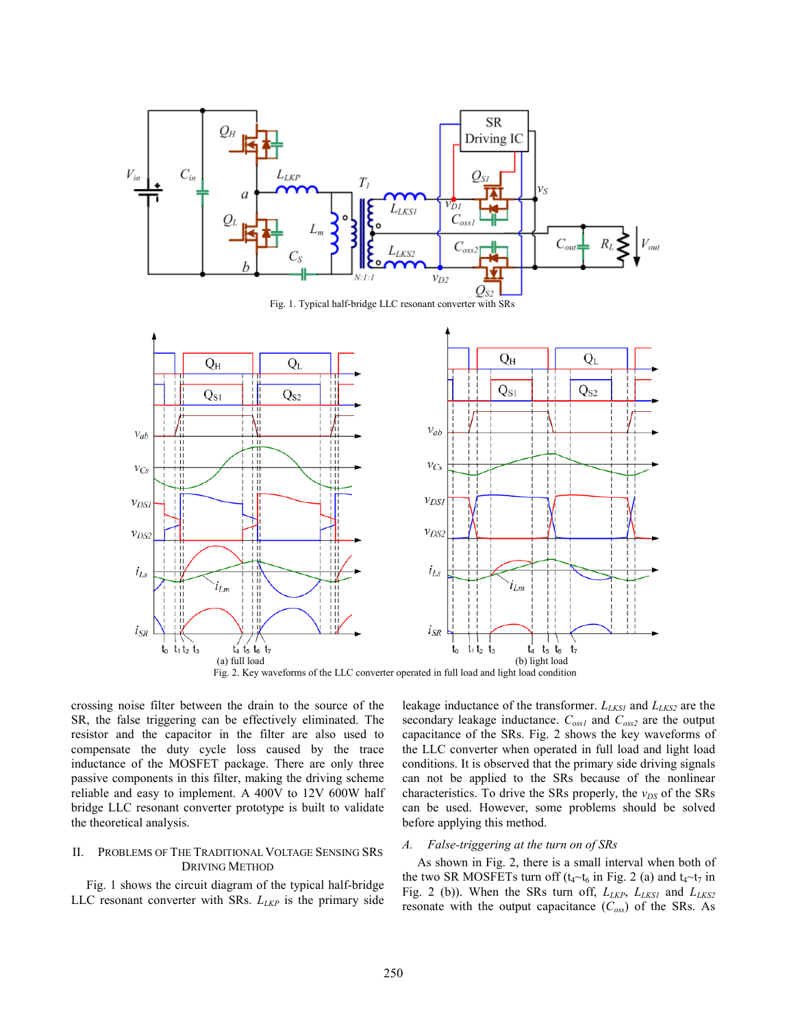

Fig. 1. Typical half-bridge LLC resonant converter with SRs



crossing noise filter between the drain to the source of the SR, the false triggering can be effectively eliminated. The resistor and the capacitor in the filter are also used to compensate the duty cycle loss caused by the trace inductance of the MOSFET package. There are only three passive components in this filter, making the driving scheme reliable and easy to implement. A 400V to 12V 600W half bridge LLC resonant converter prototype is built to validate the theoretical analysis.

# II. PROBLEMS OF THE TRADITIONAL VOLTAGE SENSING SRS DRIVING METHOD

Fig. 1 shows the circuit diagram of the typical half-bridge LLC resonant converter with SRs.  $L_{LKP}$  is the primary side leakage inductance of the transformer.  $L_{LKS1}$  and  $L_{LKS2}$  are the secondary leakage inductance. *Coss1* and *Coss2* are the output capacitance of the SRs. Fig. 2 shows the key waveforms of the LLC converter when operated in full load and light load conditions. It is observed that the primary side driving signals can not be applied to the SRs because of the nonlinear characteristics. To drive the SRs properly, the  $v_{DS}$  of the SRs can be used. However, some problems should be solved before applying this method.

## *A. False-triggering at the turn on of SRs*

As shown in Fig. 2, there is a small interval when both of the two SR MOSFETs turn off ( $t_4 \sim t_6$  in Fig. 2 (a) and  $t_4 \sim t_7$  in Fig. 2 (b)). When the SRs turn off,  $L_{LKP}$ ,  $L_{LKS1}$  and  $L_{LKS2}$ resonate with the output capacitance  $(C_{\text{oss}})$  of the SRs. As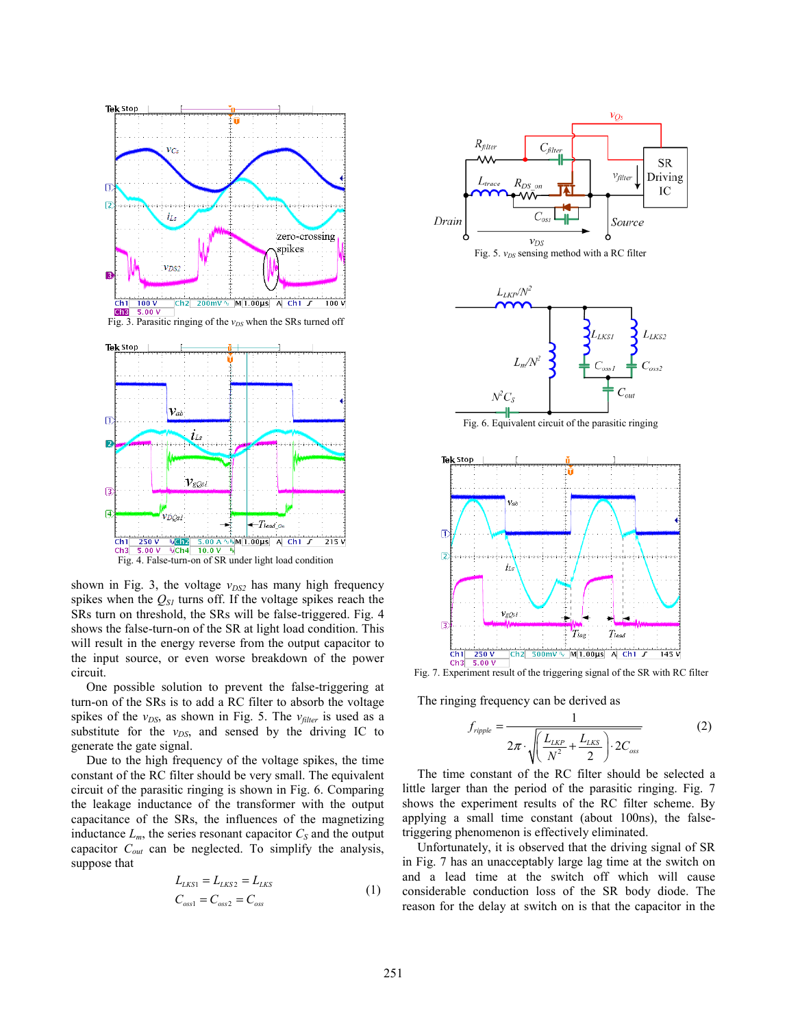

shown in Fig. 3, the voltage  $v_{DS2}$  has many high frequency spikes when the  $Q_{SI}$  turns off. If the voltage spikes reach the SRs turn on threshold, the SRs will be false-triggered. Fig. 4 shows the false-turn-on of the SR at light load condition. This will result in the energy reverse from the output capacitor to the input source, or even worse breakdown of the power circuit.

One possible solution to prevent the false-triggering at turn-on of the SRs is to add a RC filter to absorb the voltage spikes of the  $v_{DS}$ , as shown in Fig. 5. The  $v_{filter}$  is used as a substitute for the  $v_{DS}$ , and sensed by the driving IC to generate the gate signal.

Due to the high frequency of the voltage spikes, the time constant of the RC filter should be very small. The equivalent circuit of the parasitic ringing is shown in Fig. 6. Comparing the leakage inductance of the transformer with the output capacitance of the SRs, the influences of the magnetizing inductance  $L_m$ , the series resonant capacitor  $C_S$  and the output capacitor *Cout* can be neglected. To simplify the analysis, suppose that

$$
L_{LKS1} = L_{LKS2} = L_{LKS}
$$
  
\n
$$
C_{oss1} = C_{oss2} = C_{oss}
$$
\n(1)



Fig. 7. Experiment result of the triggering signal of the SR with RC filter

The ringing frequency can be derived as

$$
f_{\text{right}} = \frac{1}{2\pi \cdot \sqrt{\left(\frac{L_{LKP}}{N^2} + \frac{L_{LKS}}{2}\right) \cdot 2C_{\text{oss}}}}
$$
(2)

The time constant of the RC filter should be selected a little larger than the period of the parasitic ringing. Fig. 7 shows the experiment results of the RC filter scheme. By applying a small time constant (about 100ns), the falsetriggering phenomenon is effectively eliminated.

Unfortunately, it is observed that the driving signal of SR in Fig. 7 has an unacceptably large lag time at the switch on and a lead time at the switch off which will cause considerable conduction loss of the SR body diode. The reason for the delay at switch on is that the capacitor in the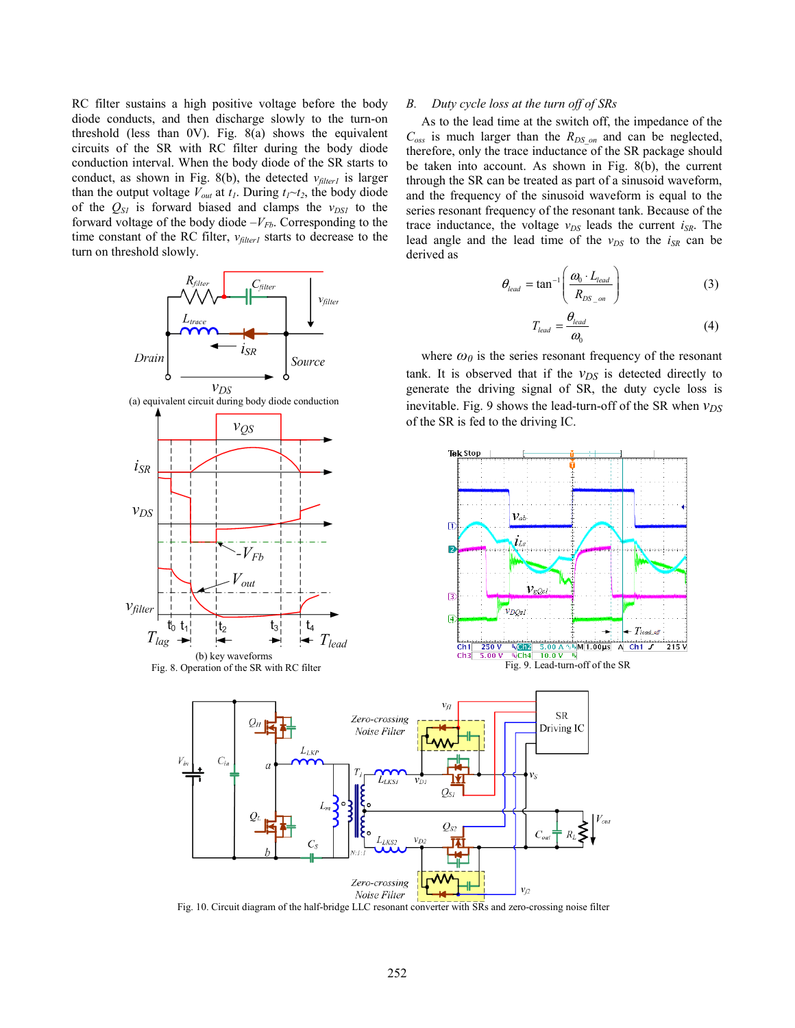RC filter sustains a high positive voltage before the body diode conducts, and then discharge slowly to the turn-on threshold (less than 0V). Fig. 8(a) shows the equivalent circuits of the SR with RC filter during the body diode conduction interval. When the body diode of the SR starts to conduct, as shown in Fig. 8(b), the detected  $v_{filter}$  is larger than the output voltage  $V_{out}$  at  $t_1$ . During  $t_1 \sim t_2$ , the body diode of the  $Q_{SI}$  is forward biased and clamps the  $v_{DSI}$  to the forward voltage of the body diode  $-V_{Fb}$ . Corresponding to the time constant of the RC filter,  $v_{filter}$  starts to decrease to the turn on threshold slowly.



### *B. Duty cycle loss at the turn off of SRs*

As to the lead time at the switch off, the impedance of the  $C_{\text{oss}}$  is much larger than the  $R_{DS\text{on}}$  and can be neglected, therefore, only the trace inductance of the SR package should be taken into account. As shown in Fig. 8(b), the current through the SR can be treated as part of a sinusoid waveform, and the frequency of the sinusoid waveform is equal to the series resonant frequency of the resonant tank. Because of the trace inductance, the voltage  $v_{DS}$  leads the current  $i_{SR}$ . The lead angle and the lead time of the  $v_{DS}$  to the  $i_{SR}$  can be derived as

$$
\theta_{lead} = \tan^{-1} \left( \frac{\omega_0 \cdot L_{lead}}{R_{DS\_on}} \right) \tag{3}
$$

$$
T_{lead} = \frac{\theta_{lead}}{\omega_0} \tag{4}
$$

where  $\omega_0$  is the series resonant frequency of the resonant tank. It is observed that if the  $v_{DS}$  is detected directly to generate the driving signal of SR, the duty cycle loss is inevitable. Fig. 9 shows the lead-turn-off of the SR when  $v_{DS}$ of the SR is fed to the driving IC.





Fig. 10. Circuit diagram of the half-bridge LLC resonant converter with SRs and zero-crossing noise filter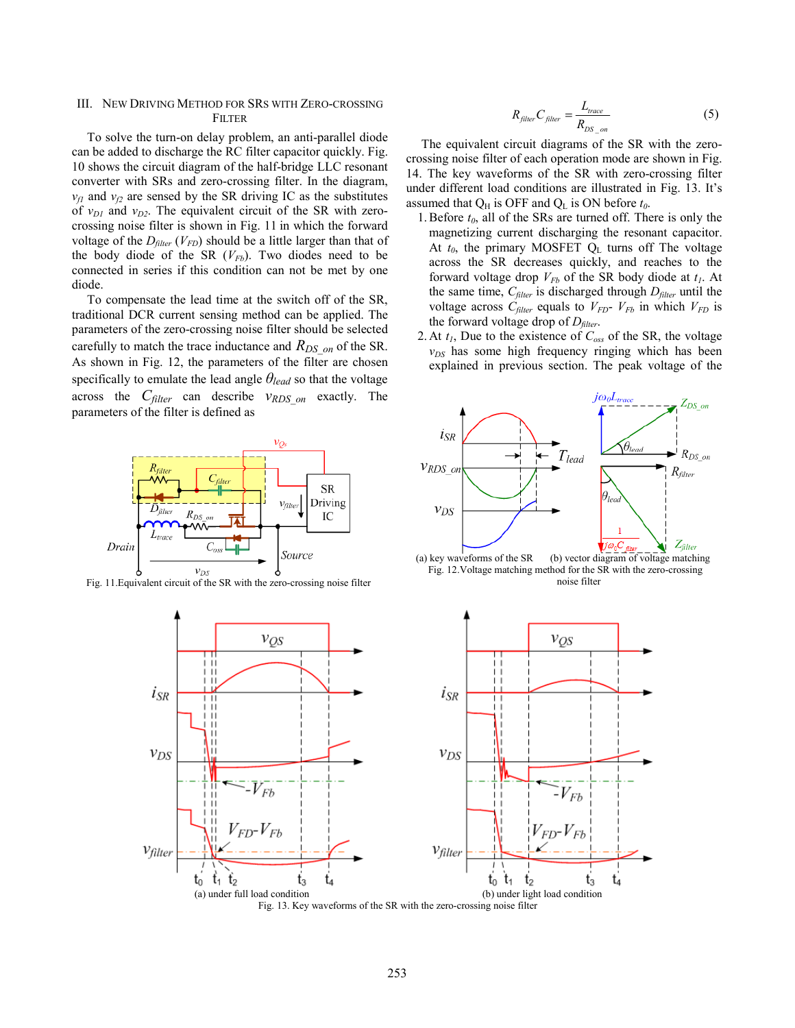# III. NEW DRIVING METHOD FOR SRS WITH ZERO-CROSSING **FILTER**

To solve the turn-on delay problem, an anti-parallel diode can be added to discharge the RC filter capacitor quickly. Fig. 10 shows the circuit diagram of the half-bridge LLC resonant converter with SRs and zero-crossing filter. In the diagram,  $v_f$ <sub>*n*</sub> and  $v_f$ <sub>2</sub> are sensed by the SR driving IC as the substitutes of  $v_{D1}$  and  $v_{D2}$ . The equivalent circuit of the SR with zerocrossing noise filter is shown in Fig. 11 in which the forward voltage of the  $D_{filter}$  ( $V_{FD}$ ) should be a little larger than that of the body diode of the SR  $(V_{Fb})$ . Two diodes need to be connected in series if this condition can not be met by one diode.

To compensate the lead time at the switch off of the SR, traditional DCR current sensing method can be applied. The parameters of the zero-crossing noise filter should be selected carefully to match the trace inductance and  $R_{DS\text{on}}$  of the SR. As shown in Fig. 12, the parameters of the filter are chosen specifically to emulate the lead angle *θlead* so that the voltage across the *Cfilter* can describe *vRDS\_on* exactly. The parameters of the filter is defined as



Fig. 11.Equivalent circuit of the SR with the zero-crossing noise filter



The equivalent circuit diagrams of the SR with the zerocrossing noise filter of each operation mode are shown in Fig. 14. The key waveforms of the SR with zero-crossing filter under different load conditions are illustrated in Fig. 13. It's assumed that  $Q_H$  is OFF and  $Q_L$  is ON before  $t_0$ .

- 1. Before  $t_0$ , all of the SRs are turned off. There is only the magnetizing current discharging the resonant capacitor. At  $t_0$ , the primary MOSFET  $Q_L$  turns off The voltage across the SR decreases quickly, and reaches to the forward voltage drop  $V_{Fb}$  of the SR body diode at  $t_1$ . At the same time,  $C_{filter}$  is discharged through  $D_{filter}$  until the voltage across  $C_{filter}$  equals to  $V_{FD}$ -  $V_{Fb}$  in which  $V_{FD}$  is the forward voltage drop of  $D_{filter}$ .
- 2. At *t1*, Due to the existence of *Coss* of the SR, the voltage  $v_{DS}$  has some high frequency ringing which has been explained in previous section. The peak voltage of the



(a) key waveforms of the SR (b) vector diagram of voltage matching Fig. 12.Voltage matching method for the SR with the zero-crossing noise filter

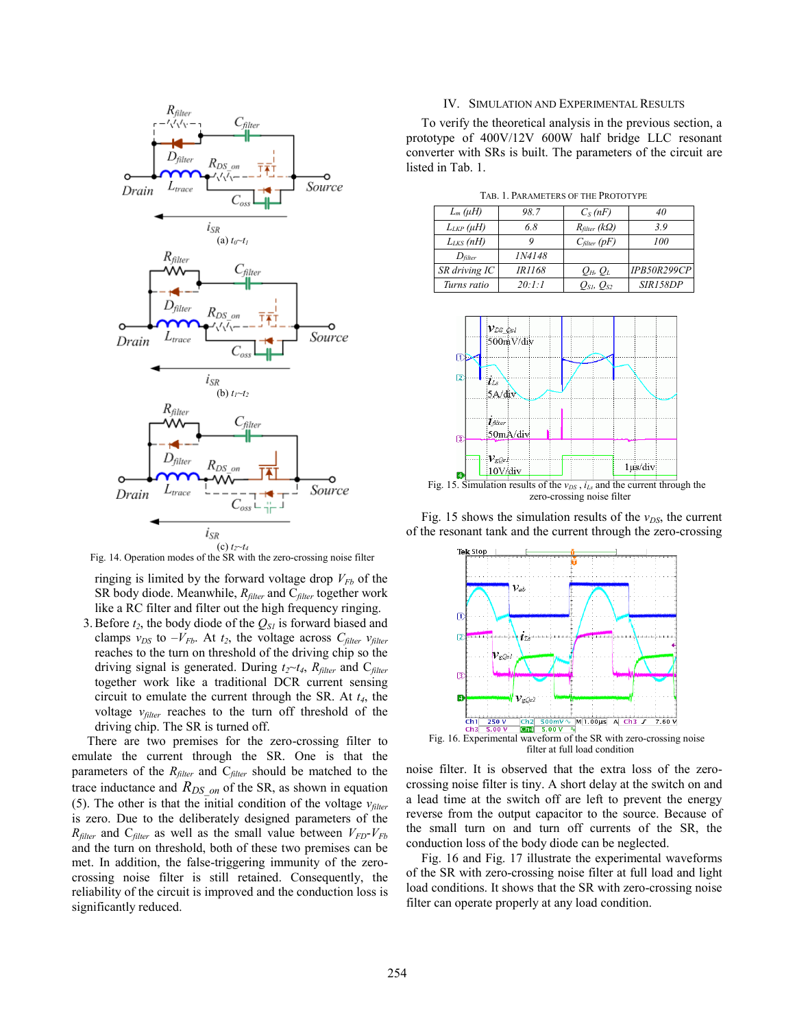

Fig. 14. Operation modes of the SR with the zero-crossing noise filter

ringing is limited by the forward voltage drop  $V_{Fb}$  of the SR body diode. Meanwhile, *Rfilter* and C*filter* together work like a RC filter and filter out the high frequency ringing.

3. Before  $t_2$ , the body diode of the  $Q_{SI}$  is forward biased and clamps  $v_{DS}$  to  $-V_{Fb}$ . At  $t_2$ , the voltage across  $C_{filter}$   $v_{filter}$ reaches to the turn on threshold of the driving chip so the driving signal is generated. During  $t_2 \sim t_4$ ,  $R_{filter}$  and  $C_{filter}$ together work like a traditional DCR current sensing circuit to emulate the current through the SR. At *t4*, the voltage *vfilter* reaches to the turn off threshold of the driving chip. The SR is turned off.

There are two premises for the zero-crossing filter to emulate the current through the SR. One is that the parameters of the *Rfilter* and C*filter* should be matched to the trace inductance and  $R_{DS\ on}$  of the SR, as shown in equation (5). The other is that the initial condition of the voltage  $v_{filter}$ is zero. Due to the deliberately designed parameters of the  $R_{filter}$  and  $C_{filter}$  as well as the small value between  $V_{FD}$ - $V_{Fb}$ and the turn on threshold, both of these two premises can be met. In addition, the false-triggering immunity of the zerocrossing noise filter is still retained. Consequently, the reliability of the circuit is improved and the conduction loss is significantly reduced.

#### IV. SIMULATION AND EXPERIMENTAL RESULTS

To verify the theoretical analysis in the previous section, a prototype of 400V/12V 600W half bridge LLC resonant converter with SRs is built. The parameters of the circuit are listed in Tab. 1.

TAB. 1. PARAMETERS OF THE PROTOTYPE

| $L_m(\mu H)$        | 98.7          | $C_S(nF)$                  | 40                 |  |  |
|---------------------|---------------|----------------------------|--------------------|--|--|
| $L_{LKP}(\mu H)$    | 6.8           | $R_{filter}$ (k $\Omega$ ) | 3.9                |  |  |
| $L_{LKS}$ (nH)      |               | $C_{filter}$ (pF)          | 100                |  |  |
| $D_{\text{filter}}$ | <i>IN4148</i> |                            |                    |  |  |
| SR driving IC       | IR1168        | $Q_H$ , $Q_L$              | <b>IPB50R299CP</b> |  |  |
| Turns ratio         | 20:1:1        | $Q_{SI}$ , $Q_{S2}$        | SIR158DP           |  |  |



Fig. 15 shows the simulation results of the  $v_{DS}$ , the current of the resonant tank and the current through the zero-crossing



filter at full load condition

noise filter. It is observed that the extra loss of the zerocrossing noise filter is tiny. A short delay at the switch on and a lead time at the switch off are left to prevent the energy reverse from the output capacitor to the source. Because of the small turn on and turn off currents of the SR, the conduction loss of the body diode can be neglected.

Fig. 16 and Fig. 17 illustrate the experimental waveforms of the SR with zero-crossing noise filter at full load and light load conditions. It shows that the SR with zero-crossing noise filter can operate properly at any load condition.